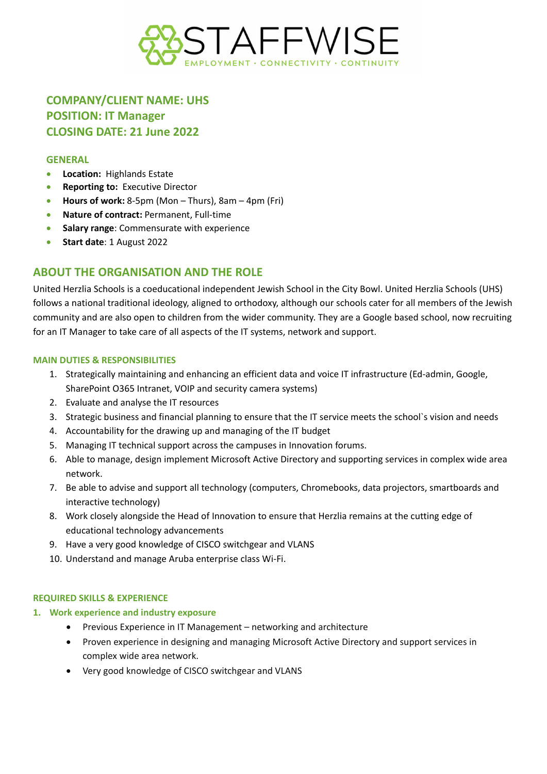

# **COMPANY/CLIENT NAME: UHS POSITION: IT Manager CLOSING DATE: 21 June 2022**

#### **GENERAL**

- **Location:** Highlands Estate
- **Reporting to:** Executive Director
- **Hours of work:** 8-5pm (Mon Thurs), 8am 4pm (Fri)
- **Nature of contract:** Permanent, Full-time
- **Salary range**: Commensurate with experience
- **Start date**: 1 August 2022

# **ABOUT THE ORGANISATION AND THE ROLE**

United Herzlia Schools is a coeducational independent Jewish School in the City Bowl. United Herzlia Schools (UHS) follows a national traditional ideology, aligned to orthodoxy, although our schools cater for all members of the Jewish community and are also open to children from the wider community. They are a Google based school, now recruiting for an IT Manager to take care of all aspects of the IT systems, network and support.

#### **MAIN DUTIES & RESPONSIBILITIES**

- 1. Strategically maintaining and enhancing an efficient data and voice IT infrastructure (Ed-admin, Google, SharePoint O365 Intranet, VOIP and security camera systems)
- 2. Evaluate and analyse the IT resources
- 3. Strategic business and financial planning to ensure that the IT service meets the school`s vision and needs
- 4. Accountability for the drawing up and managing of the IT budget
- 5. Managing IT technical support across the campuses in Innovation forums.
- 6. Able to manage, design implement Microsoft Active Directory and supporting services in complex wide area network.
- 7. Be able to advise and support all technology (computers, Chromebooks, data projectors, smartboards and interactive technology)
- 8. Work closely alongside the Head of Innovation to ensure that Herzlia remains at the cutting edge of educational technology advancements
- 9. Have a very good knowledge of CISCO switchgear and VLANS
- 10. Understand and manage Aruba enterprise class Wi-Fi.

#### **REQUIRED SKILLS & EXPERIENCE**

#### **1. Work experience and industry exposure**

- Previous Experience in IT Management networking and architecture
- Proven experience in designing and managing Microsoft Active Directory and support services in complex wide area network.
- Very good knowledge of CISCO switchgear and VLANS